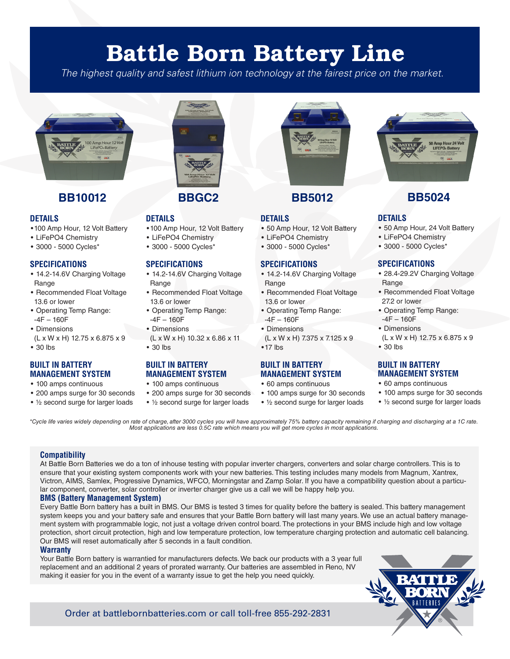# Battle Born Battery Line

*The highest quality and safest lithium ion technology at the fairest price on the market.*



## **BB10012 BB5012 BB5024**

#### **DETAILS**

- •100 Amp Hour, 12 Volt Battery
- LiFePO4 Chemistry
- 3000 5000 Cycles\*

#### **SPECIFICATIONS**

- 14.2-14.6V Charging Voltage Range
- Recommended Float Voltage 13.6 or lower
- Operating Temp Range:
- -4F 160F • Dimensions
- (L x W x H) 12.75 x 6.875 x 9
- 30 lbs

#### **BUILT IN BATTERY MANAGEMENT SYSTEM**

- 100 amps continuous
- 200 amps surge for 30 seconds
- ½ second surge for larger loads



### **BBGC2**

### **DETAILS**

- •100 Amp Hour, 12 Volt Battery
- LiFePO4 Chemistry
- 3000 5000 Cycles\*

### **SPECIFICATIONS**

- 14.2-14.6V Charging Voltage **Range**
- Recommended Float Voltage 13.6 or lower
- Operating Temp Range:  $-4F - 160F$
- Dimensions
- (L x W x H) 10.32 x 6.86 x 11
- 30 lbs

### **BUILT IN BATTERY MANAGEMENT SYSTEM**

- 100 amps continuous
- 200 amps surge for 30 seconds
- ½ second surge for larger loads



### **DETAILS**

- 50 Amp Hour, 12 Volt Battery
- LiFePO4 Chemistry
- 3000 5000 Cycles\*

#### **SPECIFICATIONS**

- 14.2-14.6V Charging Voltage Range
- Recommended Float Voltage 13.6 or lower
- Operating Temp Range:  $-4F - 160F$
- Dimensions
- (L x W x H) 7.375 x 7.125 x 9 •17 lbs

#### **BUILT IN BATTERY MANAGEMENT SYSTEM**

- 60 amps continuous
- 100 amps surge for 30 seconds
- ½ second surge for larger loads



### **DETAILS**

- 50 Amp Hour, 24 Volt Battery
- LiFePO4 Chemistry
- 3000 5000 Cycles\*

#### **SPECIFICATIONS**

- 28.4-29.2V Charging Voltage Range
- Recommended Float Voltage 27.2 or lower
- Operating Temp Range:  $-4F - 160F$
- Dimensions
- (L x W x H) 12.75 x 6.875 x 9 • 30 lbs
- 

### **BUILT IN BATTERY MANAGEMENT SYSTEM**

- 60 amps continuous
- 100 amps surge for 30 seconds
- ½ second surge for larger loads

*\*Cycle life varies widely depending on rate of charge, after 3000 cycles you will have approximately 75% battery capacity remaining if charging and discharging at a 1C rate. Most applications are less 0.5C rate which means you will get more cycles in most applications.*

#### **Compatibility**

At Battle Born Batteries we do a ton of inhouse testing with popular inverter chargers, converters and solar charge controllers. This is to ensure that your existing system components work with your new batteries. This testing includes many models from Magnum, Xantrex, Victron, AIMS, Samlex, Progressive Dynamics, WFCO, Morningstar and Zamp Solar. If you have a compatibility question about a particular component, converter, solar controller or inverter charger give us a call we will be happy help you.

### **BMS (Battery Management System)**

Every Battle Born battery has a built in BMS. Our BMS is tested 3 times for quality before the battery is sealed. This battery management system keeps you and your battery safe and ensures that your Battle Born battery will last many years. We use an actual battery management system with programmable logic, not just a voltage driven control board. The protections in your BMS include high and low voltage protection, short circuit protection, high and low temperature protection, low temperature charging protection and automatic cell balancing. Our BMS will reset automatically after 5 seconds in a fault condition.

#### **Warranty**

Your Battle Born battery is warrantied for manufacturers defects. We back our products with a 3 year full replacement and an additional 2 years of prorated warranty. Our batteries are assembled in Reno, NV making it easier for you in the event of a warranty issue to get the help you need quickly.



Order at battlebornbatteries.com or call toll-free 855-292-2831